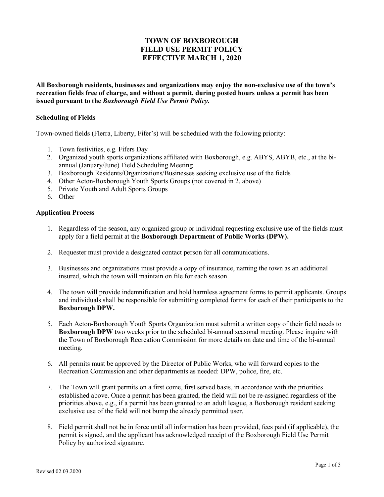### **TOWN OF BOXBOROUGH FIELD USE PERMIT POLICY EFFECTIVE MARCH 1, 2020**

**All Boxborough residents, businesses and organizations may enjoy the non-exclusive use of the town's recreation fields free of charge, and without a permit, during posted hours unless a permit has been issued pursuant to the** *Boxborough Field Use Permit Policy***.** 

#### **Scheduling of Fields**

Town-owned fields (Flerra, Liberty, Fifer's) will be scheduled with the following priority:

- 1. Town festivities, e.g. Fifers Day
- 2. Organized youth sports organizations affiliated with Boxborough, e.g. ABYS, ABYB, etc., at the biannual (January/June) Field Scheduling Meeting
- 3. Boxborough Residents/Organizations/Businesses seeking exclusive use of the fields
- 4. Other Acton-Boxborough Youth Sports Groups (not covered in 2. above)
- 5. Private Youth and Adult Sports Groups
- 6. Other

#### **Application Process**

- 1. Regardless of the season, any organized group or individual requesting exclusive use of the fields must apply for a field permit at the **Boxborough Department of Public Works (DPW).**
- 2. Requester must provide a designated contact person for all communications.
- 3. Businesses and organizations must provide a copy of insurance, naming the town as an additional insured, which the town will maintain on file for each season.
- 4. The town will provide indemnification and hold harmless agreement forms to permit applicants. Groups and individuals shall be responsible for submitting completed forms for each of their participants to the **Boxborough DPW.**
- 5. Each Acton-Boxborough Youth Sports Organization must submit a written copy of their field needs to **Boxborough DPW** two weeks prior to the scheduled bi-annual seasonal meeting. Please inquire with the Town of Boxborough Recreation Commission for more details on date and time of the bi-annual meeting.
- 6. All permits must be approved by the Director of Public Works, who will forward copies to the Recreation Commission and other departments as needed: DPW, police, fire, etc.
- 7. The Town will grant permits on a first come, first served basis, in accordance with the priorities established above. Once a permit has been granted, the field will not be re-assigned regardless of the priorities above, e.g., if a permit has been granted to an adult league, a Boxborough resident seeking exclusive use of the field will not bump the already permitted user.
- 8. Field permit shall not be in force until all information has been provided, fees paid (if applicable), the permit is signed, and the applicant has acknowledged receipt of the Boxborough Field Use Permit Policy by authorized signature.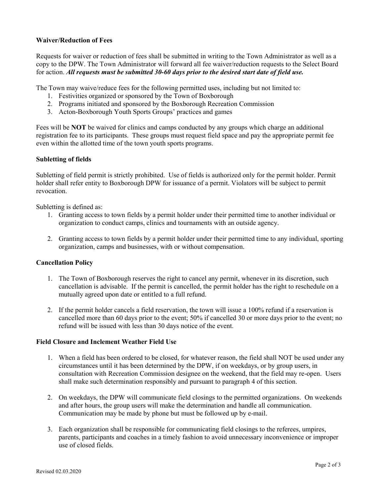### **Waiver/Reduction of Fees**

Requests for waiver or reduction of fees shall be submitted in writing to the Town Administrator as well as a copy to the DPW. The Town Administrator will forward all fee waiver/reduction requests to the Select Board for action. *All requests must be submitted 30-60 days prior to the desired start date of field use.*

The Town may waive/reduce fees for the following permitted uses, including but not limited to:

- 1. Festivities organized or sponsored by the Town of Boxborough
- 2. Programs initiated and sponsored by the Boxborough Recreation Commission
- 3. Acton-Boxborough Youth Sports Groups' practices and games

Fees will be **NOT** be waived for clinics and camps conducted by any groups which charge an additional registration fee to its participants. These groups must request field space and pay the appropriate permit fee even within the allotted time of the town youth sports programs.

### **Subletting of fields**

Subletting of field permit is strictly prohibited. Use of fields is authorized only for the permit holder. Permit holder shall refer entity to Boxborough DPW for issuance of a permit. Violators will be subject to permit revocation.

Subletting is defined as:

- 1. Granting access to town fields by a permit holder under their permitted time to another individual or organization to conduct camps, clinics and tournaments with an outside agency.
- 2. Granting access to town fields by a permit holder under their permitted time to any individual, sporting organization, camps and businesses, with or without compensation.

### **Cancellation Policy**

- 1. The Town of Boxborough reserves the right to cancel any permit, whenever in its discretion, such cancellation is advisable. If the permit is cancelled, the permit holder has the right to reschedule on a mutually agreed upon date or entitled to a full refund.
- 2. If the permit holder cancels a field reservation, the town will issue a 100% refund if a reservation is cancelled more than 60 days prior to the event; 50% if cancelled 30 or more days prior to the event; no refund will be issued with less than 30 days notice of the event.

### **Field Closure and Inclement Weather Field Use**

- 1. When a field has been ordered to be closed, for whatever reason, the field shall NOT be used under any circumstances until it has been determined by the DPW, if on weekdays, or by group users, in consultation with Recreation Commission designee on the weekend, that the field may re-open. Users shall make such determination responsibly and pursuant to paragraph 4 of this section.
- 2. On weekdays, the DPW will communicate field closings to the permitted organizations. On weekends and after hours, the group users will make the determination and handle all communication. Communication may be made by phone but must be followed up by e-mail.
- 3. Each organization shall be responsible for communicating field closings to the referees, umpires, parents, participants and coaches in a timely fashion to avoid unnecessary inconvenience or improper use of closed fields.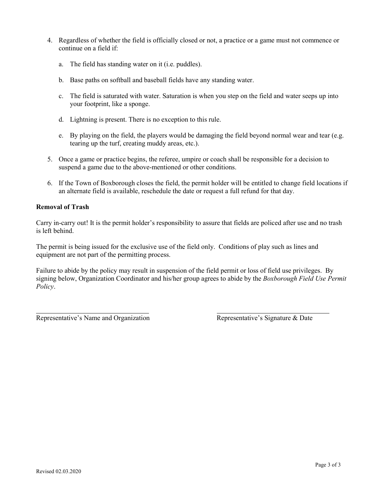- 4. Regardless of whether the field is officially closed or not, a practice or a game must not commence or continue on a field if:
	- a. The field has standing water on it (i.e. puddles).
	- b. Base paths on softball and baseball fields have any standing water.
	- c. The field is saturated with water. Saturation is when you step on the field and water seeps up into your footprint, like a sponge.
	- d. Lightning is present. There is no exception to this rule.
	- e. By playing on the field, the players would be damaging the field beyond normal wear and tear (e.g. tearing up the turf, creating muddy areas, etc.).
- 5. Once a game or practice begins, the referee, umpire or coach shall be responsible for a decision to suspend a game due to the above-mentioned or other conditions.
- 6. If the Town of Boxborough closes the field, the permit holder will be entitled to change field locations if an alternate field is available, reschedule the date or request a full refund for that day.

### **Removal of Trash**

Carry in-carry out! It is the permit holder's responsibility to assure that fields are policed after use and no trash is left behind.

The permit is being issued for the exclusive use of the field only. Conditions of play such as lines and equipment are not part of the permitting process.

Failure to abide by the policy may result in suspension of the field permit or loss of field use privileges. By signing below, Organization Coordinator and his/her group agrees to abide by the *Boxborough Field Use Permit Policy*.

Representative's Name and Organization Representative's Signature & Date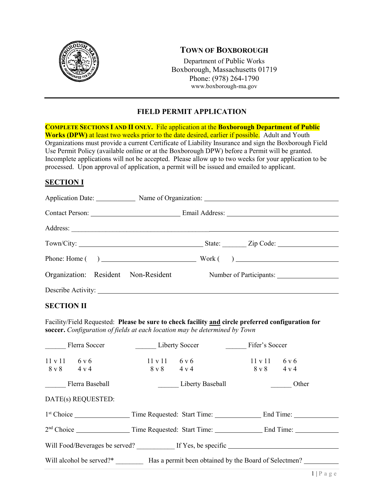

### **TOWN OF BOXBOROUGH**

Department of Public Works Boxborough, Massachusetts 01719 Phone: (978) 264-1790 www.boxborough-ma.gov

### **FIELD PERMIT APPLICATION**

**COMPLETE SECTIONS I AND II ONLY.** File application at the **Boxborough Department of Public Works (DPW)** at least two weeks prior to the date desired, earlier if possible. Adult and Youth Organizations must provide a current Certificate of Liability Insurance and sign the Boxborough Field Use Permit Policy (available online or at the Boxborough DPW) before a Permit will be granted. Incomplete applications will not be accepted. Please allow up to two weeks for your application to be processed. Upon approval of application, a permit will be issued and emailed to applicant.

### **SECTION I**

|                    |  | Application Date: Name of Organization: Name of Organization: |
|--------------------|--|---------------------------------------------------------------|
|                    |  |                                                               |
|                    |  |                                                               |
|                    |  |                                                               |
|                    |  |                                                               |
|                    |  | Organization: Resident Non-Resident Number of Participants:   |
| Describe Activity: |  |                                                               |

### **SECTION II**

Facility/Field Requested: **Please be sure to check facility and circle preferred configuration for soccer.** *Configuration of fields at each location may be determined by Town*

|                                                                                | Flerra Soccer      | Liberty Soccer                               |                  | Fifer's Soccer                               |       |  |
|--------------------------------------------------------------------------------|--------------------|----------------------------------------------|------------------|----------------------------------------------|-------|--|
| $11 v 11$ 6 v 6<br>$8 \text{ v } 8$ 4 v 4                                      |                    | 11 v 11<br>$8 \text{ v } 8$ $4 \text{ v } 4$ | 6 v 6            | 11 v 11<br>$8 \text{ v } 8$ $4 \text{ v } 4$ | 6 v 6 |  |
|                                                                                | Flerra Baseball    |                                              | Liberty Baseball |                                              | Other |  |
|                                                                                | DATE(s) REQUESTED: |                                              |                  |                                              |       |  |
|                                                                                |                    |                                              |                  |                                              |       |  |
|                                                                                |                    |                                              |                  |                                              |       |  |
| Will Food/Beverages be served? If Yes, be specific                             |                    |                                              |                  |                                              |       |  |
| Will alcohol be served?* Has a permit been obtained by the Board of Selectmen? |                    |                                              |                  |                                              |       |  |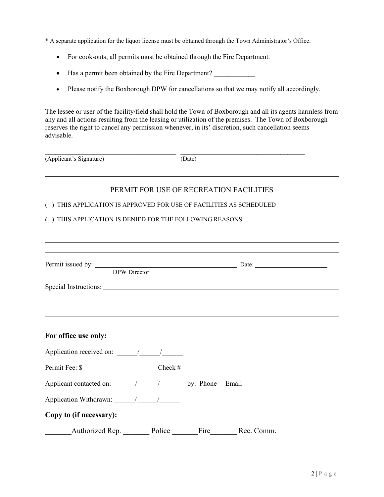- \* A separate application for the liquor license must be obtained through the Town Administrator's Office.
	- For cook-outs, all permits must be obtained through the Fire Department.
	- Has a permit been obtained by the Fire Department?
	- Please notify the Boxborough DPW for cancellations so that we may notify all accordingly.

The lessee or user of the facility/field shall hold the Town of Boxborough and all its agents harmless from any and all actions resulting from the leasing or utilization of the premises. The Town of Boxborough reserves the right to cancel any permission whenever, in its' discretion, such cancellation seems advisable.

| (Applicant's Signature) | Date) |
|-------------------------|-------|

### PERMIT FOR USE OF RECREATION FACILITIES

#### ( ) THIS APPLICATION IS APPROVED FOR USE OF FACILITIES AS SCHEDULED

#### ( ) THIS APPLICATION IS DENIED FOR THE FOLLOWING REASONS:

| Permit issued by: DPW Director DPW Director      |  |  |
|--------------------------------------------------|--|--|
|                                                  |  |  |
|                                                  |  |  |
|                                                  |  |  |
|                                                  |  |  |
| For office use only:                             |  |  |
| Application received on: $\frac{1}{\sqrt{2\pi}}$ |  |  |
| Permit Fee: $\frac{\sqrt{2}}{2}$ Check #         |  |  |
|                                                  |  |  |
|                                                  |  |  |
| Copy to (if necessary):                          |  |  |
| Authorized Rep. Police Fire Rec. Comm.           |  |  |